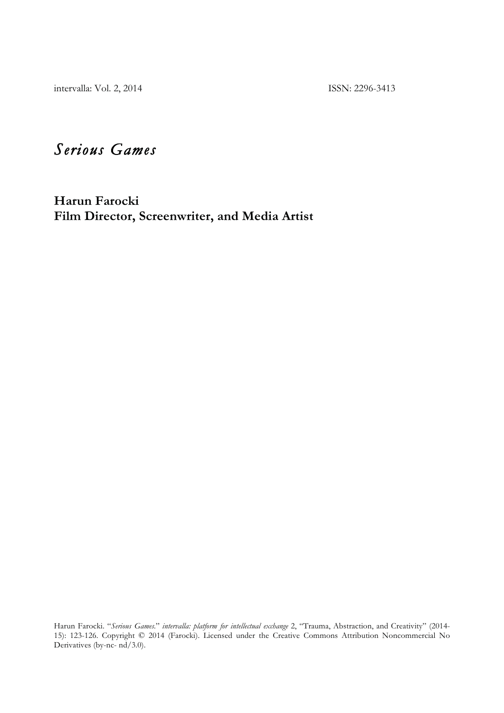intervalla: Vol. 2, 2014 ISSN: 2296-3413

# *Serious Games*

**Harun Farocki Film Director, Screenwriter, and Media Artist** 

Harun Farocki. "*Serious Games.*" *intervalla: platform for intellectual exchange* 2, "Trauma, Abstraction, and Creativity" (2014- 15): 123-126. Copyright © 2014 (Farocki). Licensed under the Creative Commons Attribution Noncommercial No Derivatives (by-nc- nd/3.0).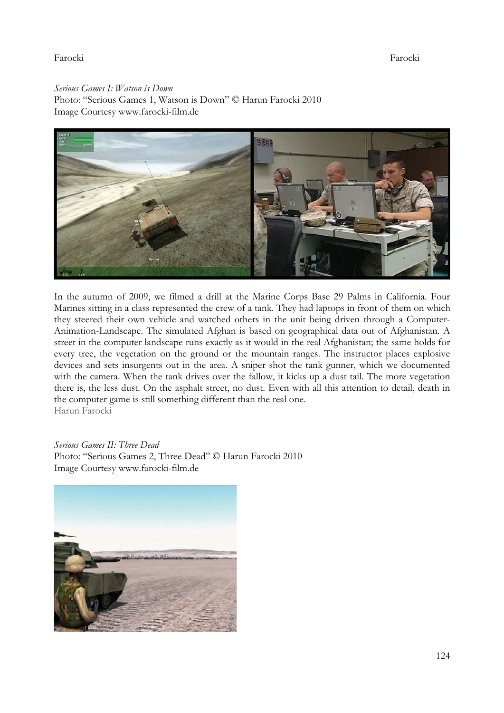## Farocki Farocki

*Serious Games I: Watson is Down*  Photo: "Serious Games 1, Watson is Down" © Harun Farocki 2010 Image Courtesy www.farocki-film.de



In the autumn of 2009, we filmed a drill at the Marine Corps Base 29 Palms in California. Four Marines sitting in a class represented the crew of a tank. They had laptops in front of them on which they steered their own vehicle and watched others in the unit being driven through a Computer-Animation-Landscape. The simulated Afghan is based on geographical data out of Afghanistan. A street in the computer landscape runs exactly as it would in the real Afghanistan; the same holds for every tree, the vegetation on the ground or the mountain ranges. The instructor places explosive devices and sets insurgents out in the area. A sniper shot the tank gunner, which we documented with the camera. When the tank drives over the fallow, it kicks up a dust tail. The more vegetation there is, the less dust. On the asphalt street, no dust. Even with all this attention to detail, death in the computer game is still something different than the real one. Harun Farocki

#### *Serious Games II: Three Dead*

Photo: "Serious Games 2, Three Dead" © Harun Farocki 2010 Image Courtesy www.farocki-film.de

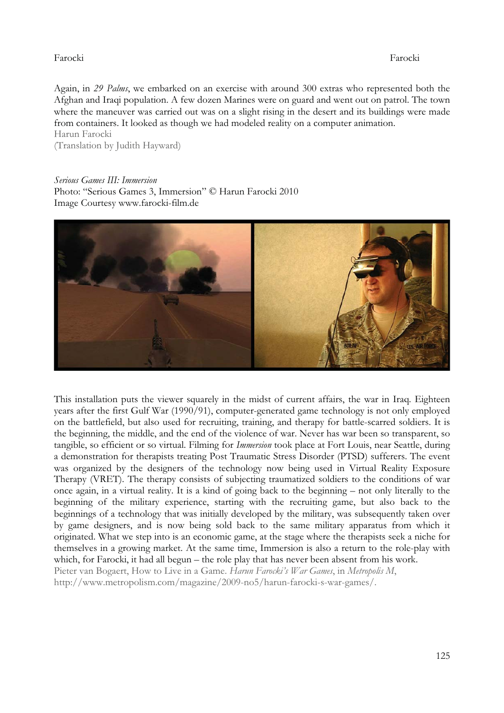# Farocki Farocki

Again, in *29 Palms*, we embarked on an exercise with around 300 extras who represented both the Afghan and Iraqi population. A few dozen Marines were on guard and went out on patrol. The town where the maneuver was carried out was on a slight rising in the desert and its buildings were made from containers. It looked as though we had modeled reality on a computer animation. Harun Farocki

(Translation by Judith Hayward)

*Serious Games III: Immersion*  Photo: "Serious Games 3, Immersion" © Harun Farocki 2010 Image Courtesy www.farocki-film.de



This installation puts the viewer squarely in the midst of current affairs, the war in Iraq. Eighteen years after the first Gulf War (1990/91), computer-generated game technology is not only employed on the battlefield, but also used for recruiting, training, and therapy for battle-scarred soldiers. It is the beginning, the middle, and the end of the violence of war. Never has war been so transparent, so tangible, so efficient or so virtual. Filming for *Immersion* took place at Fort Louis, near Seattle, during a demonstration for therapists treating Post Traumatic Stress Disorder (PTSD) sufferers. The event was organized by the designers of the technology now being used in Virtual Reality Exposure Therapy (VRET). The therapy consists of subjecting traumatized soldiers to the conditions of war once again, in a virtual reality. It is a kind of going back to the beginning – not only literally to the beginning of the military experience, starting with the recruiting game, but also back to the beginnings of a technology that was initially developed by the military, was subsequently taken over by game designers, and is now being sold back to the same military apparatus from which it originated. What we step into is an economic game, at the stage where the therapists seek a niche for themselves in a growing market. At the same time, Immersion is also a return to the role-play with which, for Farocki, it had all begun – the role play that has never been absent from his work. Pieter van Bogaert, How to Live in a Game. *Harun Farocki's War Games*, in *Metropolis M*,

http://www.metropolism.com/magazine/2009-no5/harun-farocki-s-war-games/.